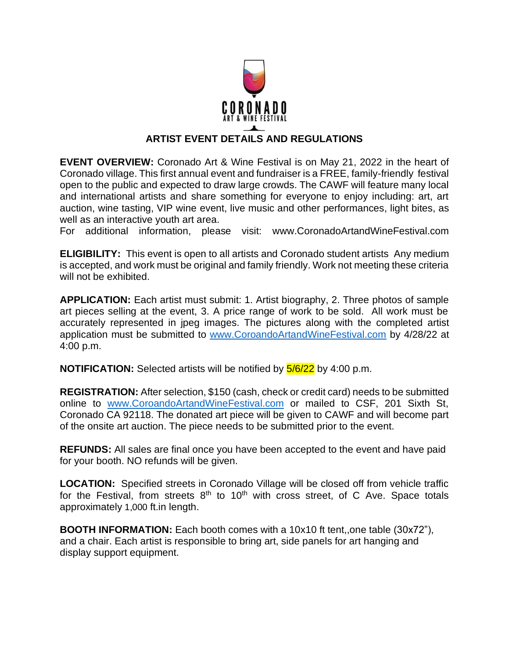

## **ARTIST EVENT DETAILS AND REGULATIONS**

**EVENT OVERVIEW:** Coronado Art & Wine Festival is on May 21, 2022 in the heart of Coronado village. This first annual event and fundraiser is a FREE, family-friendly festival open to the public and expected to draw large crowds. The CAWF will feature many local and international artists and share something for everyone to enjoy including: art, art auction, wine tasting, VIP wine event, live music and other performances, light bites, as well as an interactive youth art area.

For additional information, please visit: www.CoronadoArtandWineFestival.com

**ELIGIBILITY:** This event is open to all artists and Coronado student artists Any medium is accepted, and work must be original and family friendly. Work not meeting these criteria will not be exhibited.

**APPLICATION:** Each artist must submit: 1. Artist biography, 2. Three photos of sample art pieces selling at the event, 3. A price range of work to be sold. All work must be accurately represented in jpeg images. The pictures along with the completed artist application must be submitted to [www.CoroandoArtandWineFestival.com](http://www.coroandoartandwinefestival.com/) by 4/28/22 at 4:00 p.m.

**NOTIFICATION:** Selected artists will be notified by  $\frac{5}{6/22}$  by 4:00 p.m.

**REGISTRATION:** After selection, \$150 (cash, check or credit card) needs to be submitted online to [www.CoroandoArtandWineFestival.com](http://www.coroandoartandwinefestival.com/) or mailed to CSF, 201 Sixth St, Coronado CA 92118. The donated art piece will be given to CAWF and will become part of the onsite art auction. The piece needs to be submitted prior to the event.

**REFUNDS:** All sales are final once you have been accepted to the event and have paid for your booth. NO refunds will be given.

**LOCATION:** Specified streets in Coronado Village will be closed off from vehicle traffic for the Festival, from streets  $8<sup>th</sup>$  to  $10<sup>th</sup>$  with cross street, of C Ave. Space totals approximately 1,000 ft.in length.

**BOOTH INFORMATION:** Each booth comes with a 10x10 ft tent,,one table (30x72"), and a chair. Each artist is responsible to bring art, side panels for art hanging and display support equipment.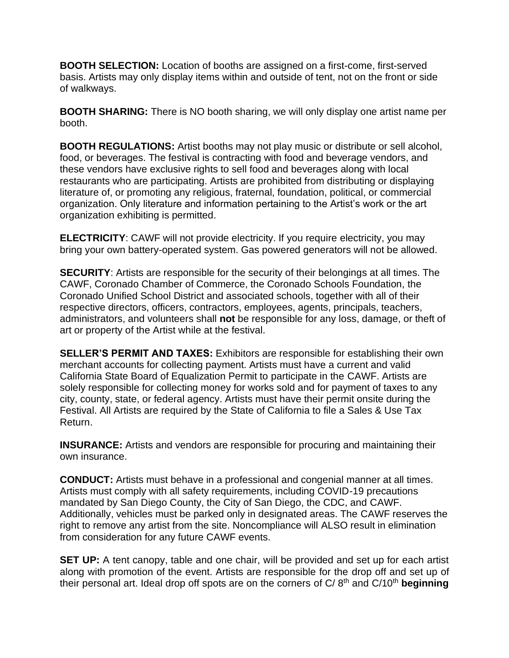**BOOTH SELECTION:** Location of booths are assigned on a first-come, first-served basis. Artists may only display items within and outside of tent, not on the front or side of walkways.

**BOOTH SHARING:** There is NO booth sharing, we will only display one artist name per booth.

**BOOTH REGULATIONS:** Artist booths may not play music or distribute or sell alcohol, food, or beverages. The festival is contracting with food and beverage vendors, and these vendors have exclusive rights to sell food and beverages along with local restaurants who are participating. Artists are prohibited from distributing or displaying literature of, or promoting any religious, fraternal, foundation, political, or commercial organization. Only literature and information pertaining to the Artist's work or the art organization exhibiting is permitted.

**ELECTRICITY:** CAWF will not provide electricity. If you require electricity, you may bring your own battery-operated system. Gas powered generators will not be allowed.

**SECURITY**: Artists are responsible for the security of their belongings at all times. The CAWF, Coronado Chamber of Commerce, the Coronado Schools Foundation, the Coronado Unified School District and associated schools, together with all of their respective directors, officers, contractors, employees, agents, principals, teachers, administrators, and volunteers shall **not** be responsible for any loss, damage, or theft of art or property of the Artist while at the festival.

**SELLER'S PERMIT AND TAXES:** Exhibitors are responsible for establishing their own merchant accounts for collecting payment. Artists must have a current and valid California State Board of Equalization Permit to participate in the CAWF. Artists are solely responsible for collecting money for works sold and for payment of taxes to any city, county, state, or federal agency. Artists must have their permit onsite during the Festival. All Artists are required by the State of California to file a Sales & Use Tax Return.

**INSURANCE:** Artists and vendors are responsible for procuring and maintaining their own insurance.

**CONDUCT:** Artists must behave in a professional and congenial manner at all times. Artists must comply with all safety requirements, including COVID-19 precautions mandated by San Diego County, the City of San Diego, the CDC, and CAWF. Additionally, vehicles must be parked only in designated areas. The CAWF reserves the right to remove any artist from the site. Noncompliance will ALSO result in elimination from consideration for any future CAWF events.

**SET UP:** A tent canopy, table and one chair, will be provided and set up for each artist along with promotion of the event. Artists are responsible for the drop off and set up of their personal art. Ideal drop off spots are on the corners of C/8<sup>th</sup> and C/10<sup>th</sup> **beginning**